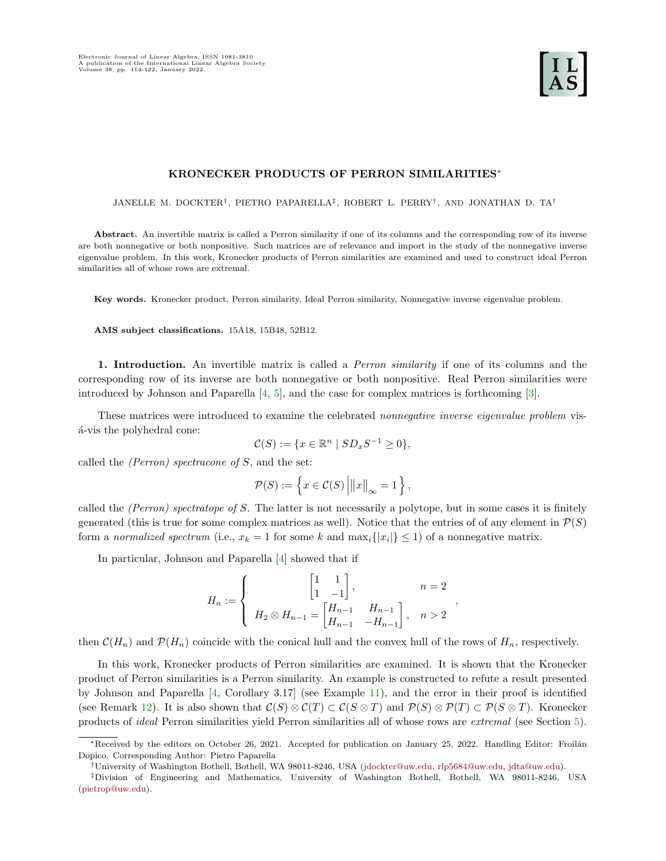# KRONECKER PRODUCTS OF PERRON SIMILARITIES<sup>∗</sup>

JANELLE M. DOCKTER† , PIETRO PAPARELLA‡ , ROBERT L. PERRY† , AND JONATHAN D. TA†

Abstract. An invertible matrix is called a Perron similarity if one of its columns and the corresponding row of its inverse are both nonnegative or both nonpositive. Such matrices are of relevance and import in the study of the nonnegative inverse eigenvalue problem. In this work, Kronecker products of Perron similarities are examined and used to construct ideal Perron similarities all of whose rows are extremal.

Key words. Kronecker product, Perron similarity, Ideal Perron similarity, Nonnegative inverse eigenvalue problem.

AMS subject classifications. 15A18, 15B48, 52B12.

1. Introduction. An invertible matrix is called a *Perron similarity* if one of its columns and the corresponding row of its inverse are both nonnegative or both nonpositive. Real Perron similarities were introduced by Johnson and Paparella [\[4,](#page-8-0) [5\]](#page-8-1), and the case for complex matrices is forthcoming [\[3\]](#page-8-2).

These matrices were introduced to examine the celebrated *nonnegative inverse eigenvalue problem* vis- $\acute{a}$ -vis the polyhedral cone:

$$
\mathcal{C}(S) := \{ x \in \mathbb{R}^n \mid SD_x S^{-1} \ge 0 \},
$$

called the *(Perron)* spectracone of  $S$ , and the set:

$$
\mathcal{P}(S) := \left\{ x \in \mathcal{C}(S) \left| ||x||_{\infty} = 1 \right. \right\},\
$$

called the (Perron) spectratope of S. The latter is not necessarily a polytope, but in some cases it is finitely generated (this is true for some complex matrices as well). Notice that the entries of of any element in  $\mathcal{P}(S)$ form a normalized spectrum (i.e.,  $x_k = 1$  for some k and  $\max_i \{|x_i|\} \leq 1$ ) of a nonnegative matrix.

In particular, Johnson and Paparella [\[4\]](#page-8-0) showed that if

$$
H_n := \begin{cases} \begin{bmatrix} 1 & 1 \\ 1 & -1 \end{bmatrix}, & n = 2 \\ H_2 \otimes H_{n-1} = \begin{bmatrix} H_{n-1} & H_{n-1} \\ H_{n-1} & -H_{n-1} \end{bmatrix}, & n > 2 \end{cases}
$$

,

then  $\mathcal{C}(H_n)$  and  $\mathcal{P}(H_n)$  coincide with the conical hull and the convex hull of the rows of  $H_n$ , respectively.

In this work, Kronecker products of Perron similarities are examined. It is shown that the Kronecker product of Perron similarities is a Perron similarity. An example is constructed to refute a result presented by Johnson and Paparella [\[4,](#page-8-0) Corollary 3.17] (see Example [11\)](#page-5-0), and the error in their proof is identified (see Remark [12\)](#page-5-1). It is also shown that  $\mathcal{C}(S) \otimes \mathcal{C}(T) \subset \mathcal{C}(S \otimes T)$  and  $\mathcal{P}(S) \otimes \mathcal{P}(T) \subset \mathcal{P}(S \otimes T)$ . Kronecker products of ideal Perron similarities yield Perron similarities all of whose rows are extremal (see Section [5\)](#page-6-0).

<sup>\*</sup>Received by the editors on October 26, 2021. Accepted for publication on January 25, 2022. Handling Editor: Froilán Dopico. Corresponding Author: Pietro Paparella

<sup>†</sup>University of Washington Bothell, Bothell, WA 98011-8246, USA [\(jdockter@uw.edu,](mailto:jdockter@uw.edu) [rlp5684@uw.edu,](mailto:rlp5684@uw.edu) [jdta@uw.edu\)](mailto:jdta@uw.edu).

<sup>‡</sup>Division of Engineering and Mathematics, University of Washington Bothell, Bothell, WA 98011-8246, USA [\(pietrop@uw.edu\)](mailto:pietrop@uw.edu).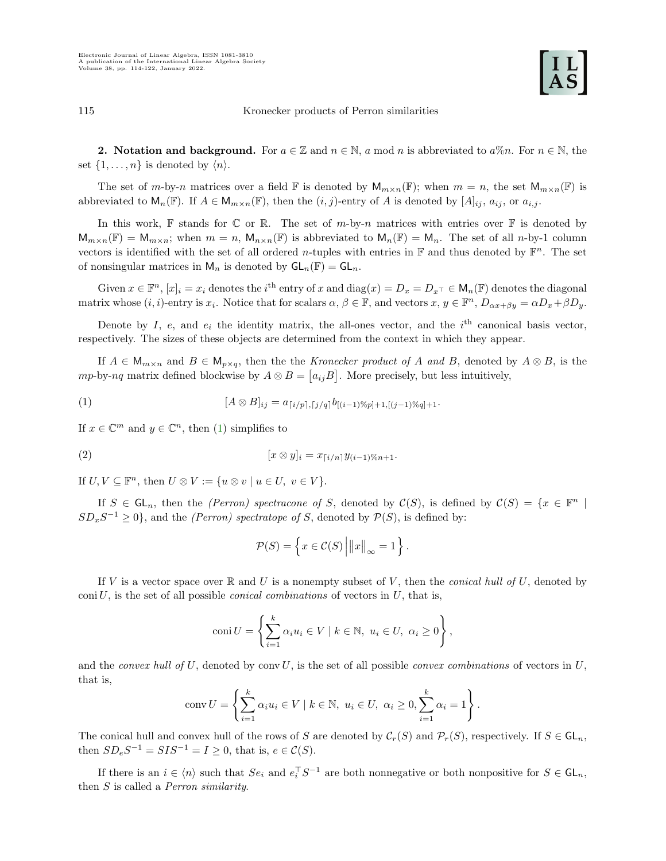2. Notation and background. For  $a \in \mathbb{Z}$  and  $n \in \mathbb{N}$ , a mod n is abbreviated to  $a\%n$ . For  $n \in \mathbb{N}$ , the set  $\{1, \ldots, n\}$  is denoted by  $\langle n \rangle$ .

The set of m-by-n matrices over a field  $\mathbb F$  is denoted by  $\mathsf{M}_{m\times n}(\mathbb F)$ ; when  $m=n$ , the set  $\mathsf{M}_{m\times n}(\mathbb F)$  is abbreviated to  $\mathsf{M}_n(\mathbb{F})$ . If  $A \in \mathsf{M}_{m \times n}(\mathbb{F})$ , then the  $(i, j)$ -entry of A is denoted by  $[A]_{ij}$ ,  $a_{ij}$ , or  $a_{i,j}$ .

In this work,  $\mathbb F$  stands for  $\mathbb C$  or  $\mathbb R$ . The set of m-by-n matrices with entries over  $\mathbb F$  is denoted by  $\mathsf{M}_{m\times n}(\mathbb{F}) = \mathsf{M}_{m\times n}$ ; when  $m = n$ ,  $\mathsf{M}_{n\times n}(\mathbb{F})$  is abbreviated to  $\mathsf{M}_n(\mathbb{F}) = \mathsf{M}_n$ . The set of all n-by-1 column vectors is identified with the set of all ordered *n*-tuples with entries in  $\mathbb F$  and thus denoted by  $\mathbb F^n$ . The set of nonsingular matrices in  $\mathsf{M}_n$  is denoted by  $\mathsf{GL}_n(\mathbb{F}) = \mathsf{GL}_n$ .

Given  $x \in \mathbb{F}^n$ ,  $[x]_i = x_i$  denotes the  $i^{\text{th}}$  entry of x and  $\text{diag}(x) = D_x = D_x + \in \mathsf{M}_n(\mathbb{F})$  denotes the diagonal matrix whose  $(i, i)$ -entry is  $x_i$ . Notice that for scalars  $\alpha, \beta \in \mathbb{F}$ , and vectors  $x, y \in \mathbb{F}^n$ ,  $D_{\alpha x + \beta y} = \alpha D_x + \beta D_y$ .

Denote by I, e, and  $e_i$  the identity matrix, the all-ones vector, and the  $i<sup>th</sup>$  canonical basis vector, respectively. The sizes of these objects are determined from the context in which they appear.

If  $A \in M_{m \times n}$  and  $B \in M_{p \times q}$ , then the the Kronecker product of A and B, denoted by  $A \otimes B$ , is the mp-by-nq matrix defined blockwise by  $A \otimes B = [a_{ij}B]$ . More precisely, but less intuitively,

<span id="page-1-0"></span>(1) 
$$
[A \otimes B]_{ij} = a_{\lceil i/p \rceil, \lceil j/q \rceil} b_{\lfloor (i-1) \cdot \lceil (j-1) \cdot \lceil (j-1) \cdot \lceil (j+1) \rceil} + 1.
$$

If  $x \in \mathbb{C}^m$  and  $y \in \mathbb{C}^n$ , then [\(1\)](#page-1-0) simplifies to

(2) 
$$
[x \otimes y]_i = x_{\lceil i/n \rceil} y_{(i-1)\%n+1}.
$$

If  $U, V \subseteq \mathbb{F}^n$ , then  $U \otimes V := \{u \otimes v \mid u \in U, v \in V\}.$ 

If  $S \in GL_n$ , then the (Perron) spectracone of S, denoted by  $\mathcal{C}(S)$ , is defined by  $\mathcal{C}(S) = \{x \in \mathbb{F}^n \mid S \in \mathbb{F}^n \mid S \in \mathbb{F}^n \mid S \in \mathbb{F}^n \mid S \in \mathbb{F}^n \mid S \in \mathbb{F}^n \mid S \in \mathbb{F}^n \mid S \in \mathbb{F}^n \mid S \in \mathbb{F}^n \mid S \in \mathbb{$  $SD_xS^{-1} \geq 0$ , and the *(Perron) spectratope of S*, denoted by  $P(S)$ , is defined by:

<span id="page-1-1"></span>
$$
\mathcal{P}(S) = \left\{ x \in \mathcal{C}(S) \left| ||x||_{\infty} = 1 \right. \right\}.
$$

If V is a vector space over  $\mathbb R$  and U is a nonempty subset of V, then the *conical hull of U*, denoted by coni $U$ , is the set of all possible *conical combinations* of vectors in  $U$ , that is,

$$
coni U = \left\{ \sum_{i=1}^{k} \alpha_i u_i \in V \mid k \in \mathbb{N}, u_i \in U, \alpha_i \ge 0 \right\},\
$$

and the convex hull of U, denoted by conv U, is the set of all possible convex combinations of vectors in U. that is,

conv 
$$
U = \left\{ \sum_{i=1}^{k} \alpha_i u_i \in V \mid k \in \mathbb{N}, u_i \in U, \alpha_i \ge 0, \sum_{i=1}^{k} \alpha_i = 1 \right\}.
$$

The conical hull and convex hull of the rows of S are denoted by  $\mathcal{C}_r(S)$  and  $\mathcal{P}_r(S)$ , respectively. If  $S \in \mathsf{GL}_n$ , then  $SD_eS^{-1} = SIS^{-1} = I \geq 0$ , that is,  $e \in C(S)$ .

If there is an  $i \in \langle n \rangle$  such that  $Se_i$  and  $e_i^{\top}S^{-1}$  are both nonnegative or both nonpositive for  $S \in \mathsf{GL}_n$ , then S is called a Perron similarity.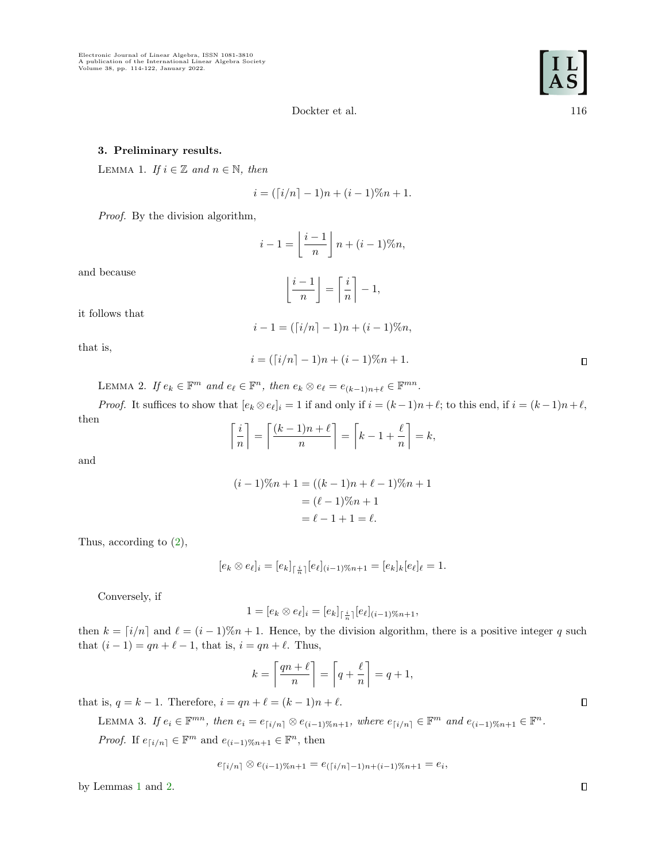## <span id="page-2-0"></span>3. Preliminary results.

LEMMA 1. If  $i \in \mathbb{Z}$  and  $n \in \mathbb{N}$ , then

$$
i = (\lceil i/n \rceil - 1)n + (i - 1)\%n + 1.
$$

Proof. By the division algorithm,

$$
i-1 = \left\lfloor \frac{i-1}{n} \right\rfloor n + (i-1)\%n,
$$

and because

$$
\left\lfloor \frac{i-1}{n} \right\rfloor = \left\lceil \frac{i}{n} \right\rceil - 1,
$$

it follows that

$$
i - 1 = (\lceil i/n \rceil - 1)n + (i - 1)\%n,
$$

that is,

$$
i = (\lceil i/n \rceil - 1)n + (i - 1)\%n + 1.
$$

<span id="page-2-1"></span>LEMMA 2. If  $e_k \in \mathbb{F}^m$  and  $e_\ell \in \mathbb{F}^n$ , then  $e_k \otimes e_\ell = e_{(k-1)n+\ell} \in \mathbb{F}^{mn}$ .

*Proof.* It suffices to show that  $[e_k \otimes e_\ell]_i = 1$  if and only if  $i = (k-1)n + \ell$ ; to this end, if  $i = (k-1)n + \ell$ , then

$$
\left\lceil \frac{i}{n} \right\rceil = \left\lceil \frac{(k-1)n + \ell}{n} \right\rceil = \left\lceil k - 1 + \frac{\ell}{n} \right\rceil = k,
$$

and

$$
(i-1)\%n + 1 = ((k-1)n + \ell - 1)\%n + 1
$$

$$
= (\ell - 1)\%n + 1
$$

$$
= \ell - 1 + 1 = \ell.
$$

Thus, according to [\(2\)](#page-1-1),

$$
[e_k \otimes e_\ell]_i = [e_k]_{\lceil \frac{i}{n} \rceil} [e_\ell]_{(i-1)\%n+1} = [e_k]_k [e_\ell]_\ell = 1.
$$

Conversely, if

$$
1 = [e_k \otimes e_\ell]_i = [e_k]_{\lceil \frac{i}{n} \rceil} [e_\ell]_{(i-1)\%n+1},
$$

then  $k = \lfloor i/n \rfloor$  and  $\ell = (i-1)\%n+1$ . Hence, by the division algorithm, there is a positive integer q such that  $(i - 1) = qn + \ell - 1$ , that is,  $i = qn + \ell$ . Thus,

$$
k = \left\lceil \frac{qn + \ell}{n} \right\rceil = \left\lceil q + \frac{\ell}{n} \right\rceil = q + 1,
$$

<span id="page-2-3"></span>that is,  $q = k - 1$ . Therefore,  $i = qn + \ell = (k - 1)n + \ell$ .

LEMMA 3. If 
$$
e_i \in \mathbb{F}^{mn}
$$
, then  $e_i = e_{\lceil i/n \rceil} \otimes e_{(i-1)\%n+1}$ , where  $e_{\lceil i/n \rceil} \in \mathbb{F}^m$  and  $e_{(i-1)\%n+1} \in \mathbb{F}^n$ .  
Proof. If  $e_{\lceil i/n \rceil} \in \mathbb{F}^m$  and  $e_{(i-1)\%n+1} \in \mathbb{F}^n$ , then

$$
e_{\lceil i/n \rceil} \otimes e_{(i-1)\%n+1} = e_{(\lceil i/n \rceil-1)n+(i-1)\%n+1} = e_i,
$$

<span id="page-2-2"></span>by Lemmas [1](#page-2-0) and [2.](#page-2-1)

 $\Box$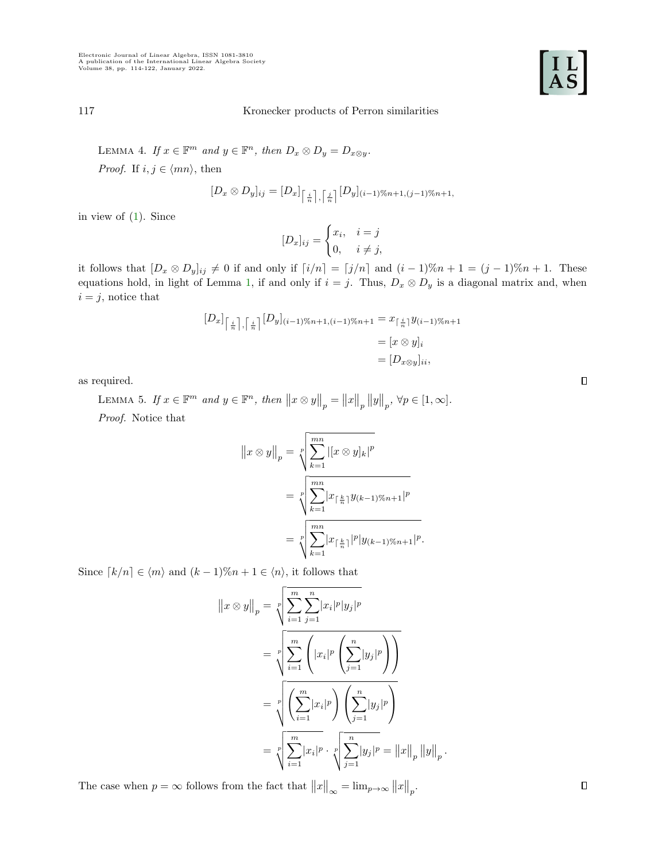

LEMMA 4. If  $x \in \mathbb{F}^m$  and  $y \in \mathbb{F}^n$ , then  $D_x \otimes D_y = D_{x \otimes y}$ . *Proof.* If  $i, j \in \langle mn \rangle$ , then

$$
[D_x \otimes D_y]_{ij} = [D_x]_{\left\lceil \frac{i}{n} \right\rceil, \left\lceil \frac{j}{n} \right\rceil} [D_y]_{(i-1)\%n+1,(j-1)\%n+1}
$$

in view of [\(1\)](#page-1-0). Since

$$
[D_x]_{ij} = \begin{cases} x_i, & i = j \\ 0, & i \neq j, \end{cases}
$$

it follows that  $[D_x \otimes D_y]_{ij} \neq 0$  if and only if  $[i/n] = [j/n]$  and  $(i-1)\%n+1 = (j-1)\%n+1$ . These equations hold, in light of Lemma [1,](#page-2-0) if and only if  $i = j$ . Thus,  $D_x \otimes D_y$  is a diagonal matrix and, when  $i = j$ , notice that

$$
[D_x]_{\left[\frac{i}{n}\right],\left[\frac{i}{n}\right]} [D_y]_{(i-1)\%n+1,(i-1)\%n+1} = x_{\left[\frac{i}{n}\right]} y_{(i-1)\%n+1}
$$

$$
= [x \otimes y]_i
$$

$$
= [D_{x \otimes y}]_{ii},
$$

<span id="page-3-0"></span>as required.

LEMMA 5. If  $x \in \mathbb{F}^m$  and  $y \in \mathbb{F}^n$ , then  $||x \otimes y||_p = ||x||_p ||y||_p$ ,  $\forall p \in [1, \infty]$ . Proof. Notice that

$$
||x \otimes y||_p = \sqrt[p]{\sum_{k=1}^{mn} |[x \otimes y]_k|^p}
$$
  
= 
$$
\sqrt[p]{\sum_{k=1}^{mn} |x_{\lceil \frac{k}{n} \rceil} y_{(k-1)\%n+1}|^p}
$$
  
= 
$$
\sqrt[p]{\sum_{k=1}^{mn} |x_{\lceil \frac{k}{n} \rceil} |p| y_{(k-1)\%n+1}|^p}.
$$

Since  $\lceil k/n \rceil \in \langle m \rangle$  and  $(k-1)\%n+1 \in \langle n \rangle$ , it follows that

$$
||x \otimes y||_p = \sqrt[p]{\sum_{i=1}^m \sum_{j=1}^n |x_i|^p |y_j|^p}
$$
  
=  $\sqrt[p]{\sum_{i=1}^m \left( |x_i|^p \left( \sum_{j=1}^n |y_j|^p \right) \right)}$   
=  $\sqrt[p]{\left( \sum_{i=1}^m |x_i|^p \right) \left( \sum_{j=1}^n |y_j|^p \right)}$   
=  $\sqrt[p]{\sum_{i=1}^m |x_i|^p} \cdot \sqrt[p]{\sum_{j=1}^n |y_j|^p} = ||x||_p ||y||_p$ .

The case when  $p = \infty$  follows from the fact that  $||x||_{\infty} = \lim_{p \to \infty} ||x||_{p}$ .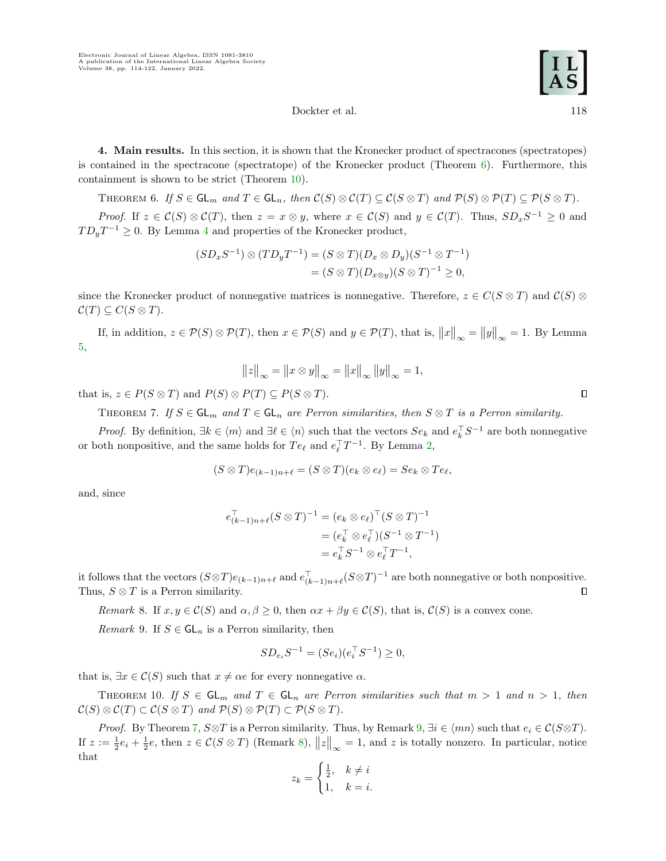4. Main results. In this section, it is shown that the Kronecker product of spectracones (spectratopes) is contained in the spectracone (spectratope) of the Kronecker product (Theorem  $6$ ). Furthermore, this containment is shown to be strict (Theorem [10\)](#page-4-1).

<span id="page-4-0"></span>THEOREM 6. If  $S \in \mathsf{GL}_m$  and  $T \in \mathsf{GL}_n$ , then  $\mathcal{C}(S) \otimes \mathcal{C}(T) \subseteq \mathcal{C}(S \otimes T)$  and  $\mathcal{P}(S) \otimes \mathcal{P}(T) \subseteq \mathcal{P}(S \otimes T)$ .

*Proof.* If  $z \in \mathcal{C}(S) \otimes \mathcal{C}(T)$ , then  $z = x \otimes y$ , where  $x \in \mathcal{C}(S)$  and  $y \in \mathcal{C}(T)$ . Thus,  $SD_xS^{-1} \geq 0$  and  $TD_yT^{-1} \geq 0$ . By Lemma [4](#page-2-2) and properties of the Kronecker product,

$$
(SD_xS^{-1}) \otimes (TD_yT^{-1}) = (S \otimes T)(D_x \otimes D_y)(S^{-1} \otimes T^{-1})
$$
  
=  $(S \otimes T)(D_{x \otimes y})(S \otimes T)^{-1} \ge 0$ ,

since the Kronecker product of nonnegative matrices is nonnegative. Therefore,  $z \in C(S \otimes T)$  and  $C(S) \otimes T$  $\mathcal{C}(T) \subseteq C(S \otimes T).$ 

If, in addition,  $z \in \mathcal{P}(S) \otimes \mathcal{P}(T)$ , then  $x \in \mathcal{P}(S)$  and  $y \in \mathcal{P}(T)$ , that is,  $||x||_{\infty} = ||y||_{\infty} = 1$ . By Lemma [5,](#page-3-0)

$$
||z||_{\infty} = ||x \otimes y||_{\infty} = ||x||_{\infty} ||y||_{\infty} = 1,
$$

<span id="page-4-2"></span>that is,  $z \in P(S \otimes T)$  and  $P(S) \otimes P(T) \subseteq P(S \otimes T)$ .

THEOREM 7. If  $S \in GL_m$  and  $T \in GL_n$  are Perron similarities, then  $S \otimes T$  is a Perron similarity.

*Proof.* By definition,  $\exists k \in \langle m \rangle$  and  $\exists \ell \in \langle n \rangle$  such that the vectors  $Se_k$  and  $e_k^{\top}S^{-1}$  are both nonnegative or both nonpositive, and the same holds for  $Te_{\ell}$  and  $e_{\ell}^{\top}T^{-1}$ . By Lemma [2,](#page-2-1)

$$
(S \otimes T)e_{(k-1)n+\ell} = (S \otimes T)(e_k \otimes e_\ell) = Se_k \otimes Te_\ell,
$$

and, since

$$
e_{(k-1)n+\ell}^{\top}(S \otimes T)^{-1} = (e_k \otimes e_\ell)^{\top} (S \otimes T)^{-1}
$$
  
=  $(e_k^{\top} \otimes e_\ell^{\top}) (S^{-1} \otimes T^{-1})$   
=  $e_k^{\top} S^{-1} \otimes e_\ell^{\top} T^{-1}$ ,

it follows that the vectors  $(S \otimes T) e_{(k-1)n+\ell}$  and  $e_{(k-1)n+\ell}^{\top} (S \otimes T)^{-1}$  are both nonnegative or both nonpositive. Thus,  $S \otimes T$  is a Perron similarity.  $\Box$ 

<span id="page-4-4"></span>Remark 8. If  $x, y \in \mathcal{C}(S)$  and  $\alpha, \beta \geq 0$ , then  $\alpha x + \beta y \in \mathcal{C}(S)$ , that is,  $\mathcal{C}(S)$  is a convex cone.

<span id="page-4-3"></span>*Remark* 9. If  $S \in GL_n$  is a Perron similarity, then

$$
SD_{e_i}S^{-1} = (Se_i)(e_i^{\top}S^{-1}) \ge 0,
$$

that is,  $\exists x \in \mathcal{C}(S)$  such that  $x \neq \alpha e$  for every nonnegative  $\alpha$ .

<span id="page-4-1"></span>THEOREM 10. If  $S \in GL_m$  and  $T \in GL_n$  are Perron similarities such that  $m > 1$  and  $n > 1$ , then  $\mathcal{C}(S) \otimes \mathcal{C}(T) \subset \mathcal{C}(S \otimes T)$  and  $\mathcal{P}(S) \otimes \mathcal{P}(T) \subset \mathcal{P}(S \otimes T)$ .

*Proof.* By Theorem [7,](#page-4-2)  $S \otimes T$  is a Perron similarity. Thus, by Remark  $9, \exists i \in \langle mn \rangle$  $9, \exists i \in \langle mn \rangle$  such that  $e_i \in C(S \otimes T)$ . If  $z := \frac{1}{2}e_i + \frac{1}{2}e$ , then  $z \in \mathcal{C}(S \otimes T)$  (Remark [8\)](#page-4-4),  $||z||_{\infty} = 1$ , and z is totally nonzero. In particular, notice that

$$
z_k = \begin{cases} \frac{1}{2}, & k \neq i \\ 1, & k = i. \end{cases}
$$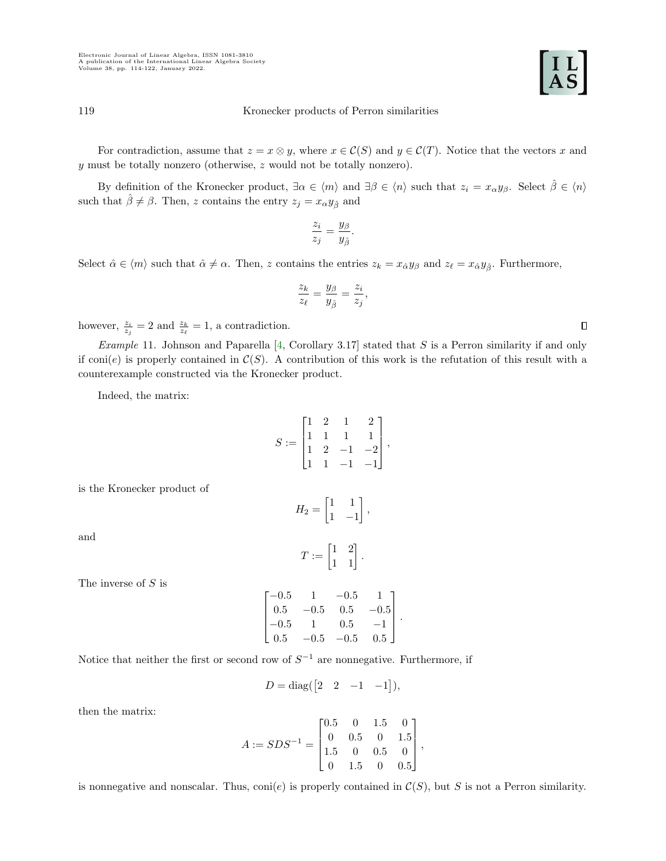For contradiction, assume that  $z = x \otimes y$ , where  $x \in \mathcal{C}(S)$  and  $y \in \mathcal{C}(T)$ . Notice that the vectors x and y must be totally nonzero (otherwise, z would not be totally nonzero).

By definition of the Kronecker product,  $\exists \alpha \in \langle m \rangle$  and  $\exists \beta \in \langle n \rangle$  such that  $z_i = x_\alpha y_\beta$ . Select  $\beta \in \langle n \rangle$ such that  $\hat{\beta} \neq \beta$ . Then, z contains the entry  $z_j = x_{\alpha} y_{\hat{\beta}}$  and

$$
\frac{z_i}{z_j} = \frac{y_\beta}{y_{\hat{\beta}}}.
$$

Select  $\hat{\alpha} \in \langle m \rangle$  such that  $\hat{\alpha} \neq \alpha$ . Then, z contains the entries  $z_k = x_{\hat{\alpha}} y_{\beta}$  and  $z_{\ell} = x_{\hat{\alpha}} y_{\hat{\beta}}$ . Furthermore,

$$
\frac{z_k}{z_\ell} = \frac{y_\beta}{y_{\hat{\beta}}} = \frac{z_i}{z_j},
$$

however,  $\frac{z_i}{z_j} = 2$  and  $\frac{z_k}{z_\ell} = 1$ , a contradiction.

<span id="page-5-0"></span>*Example* 11. Johnson and Paparella  $[4, Corollary 3.17]$  $[4, Corollary 3.17]$  stated that S is a Perron similarity if and only if coni(e) is properly contained in  $\mathcal{C}(S)$ . A contribution of this work is the refutation of this result with a counterexample constructed via the Kronecker product.

Indeed, the matrix:

$$
S := \begin{bmatrix} 1 & 2 & 1 & 2 \\ 1 & 1 & 1 & 1 \\ 1 & 2 & -1 & -2 \\ 1 & 1 & -1 & -1 \end{bmatrix},
$$

is the Kronecker product of

$$
H_2 = \begin{bmatrix} 1 & 1 \\ 1 & -1 \end{bmatrix}
$$

$$
T := \begin{bmatrix} 1 & 2 \\ 1 & 1 \end{bmatrix}.
$$

The inverse of S is

and

$$
\begin{bmatrix} -0.5 & 1 & -0.5 & 1 \ 0.5 & -0.5 & 0.5 & -0.5 \ -0.5 & 1 & 0.5 & -1 \ 0.5 & -0.5 & -0.5 & 0.5 \end{bmatrix}.
$$

Notice that neither the first or second row of  $S^{-1}$  are nonnegative. Furthermore, if

$$
D = \text{diag}(\begin{bmatrix} 2 & 2 & -1 & -1 \end{bmatrix}),
$$

then the matrix:

$$
A := SDS^{-1} = \begin{bmatrix} 0.5 & 0 & 1.5 & 0 \\ 0 & 0.5 & 0 & 1.5 \\ 1.5 & 0 & 0.5 & 0 \\ 0 & 1.5 & 0 & 0.5 \end{bmatrix},
$$

<span id="page-5-1"></span>is nonnegative and nonscalar. Thus, coni(e) is properly contained in  $\mathcal{C}(S)$ , but S is not a Perron similarity.



$$
\begin{bmatrix} 1 & 1 & -1 & -1 \end{bmatrix}
$$

$$
H_2 = \begin{bmatrix} 1 & 1 \\ 1 & 1 \end{bmatrix},
$$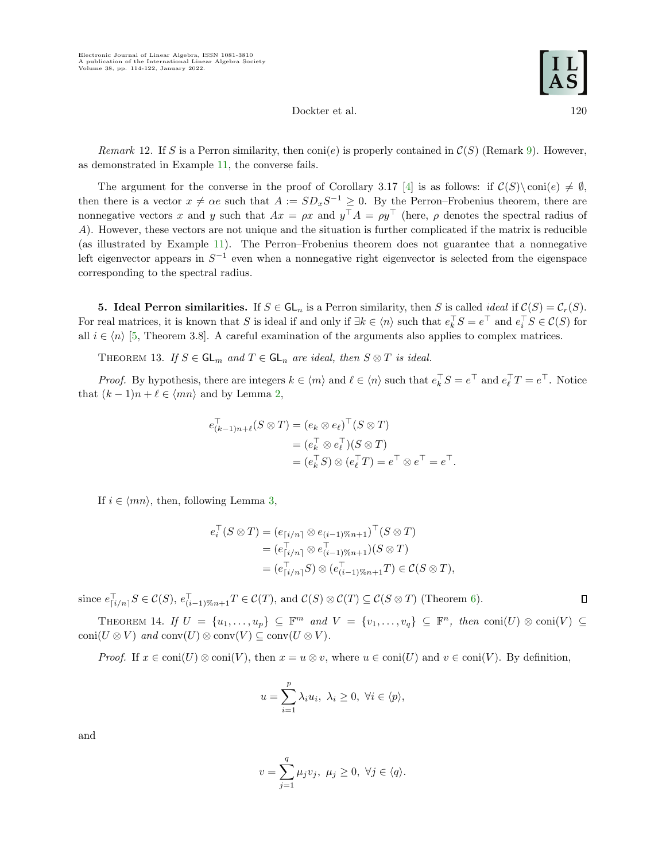Remark 12. If S is a Perron similarity, then  $\text{con}(e)$  is properly contained in  $\mathcal{C}(S)$  (Remark [9\)](#page-4-3). However, as demonstrated in Example [11,](#page-5-0) the converse fails.

The argument for the converse in the proof of Corollary 3.17 [\[4\]](#page-8-0) is as follows: if  $C(S) \text{ coni}(e) \neq \emptyset$ , then there is a vector  $x \neq \alpha e$  such that  $A := SD_xS^{-1} \geq 0$ . By the Perron–Frobenius theorem, there are nonnegative vectors x and y such that  $Ax = \rho x$  and  $y^{\top} A = \rho y^{\top}$  (here,  $\rho$  denotes the spectral radius of A). However, these vectors are not unique and the situation is further complicated if the matrix is reducible (as illustrated by Example [11\)](#page-5-0). The Perron–Frobenius theorem does not guarantee that a nonnegative left eigenvector appears in  $S^{-1}$  even when a nonnegative right eigenvector is selected from the eigenspace corresponding to the spectral radius.

<span id="page-6-0"></span>**5. Ideal Perron similarities.** If  $S \in GL_n$  is a Perron similarity, then S is called *ideal* if  $\mathcal{C}(S) = \mathcal{C}_r(S)$ . For real matrices, it is known that S is ideal if and only if  $\exists k \in \langle n \rangle$  such that  $e_k^{\top} S = e^{\top}$  and  $e_i^{\top} S \in \mathcal{C}(S)$  for all  $i \in \langle n \rangle$  [\[5,](#page-8-1) Theorem 3.8]. A careful examination of the arguments also applies to complex matrices.

<span id="page-6-1"></span>THEOREM 13. If  $S \in GL_m$  and  $T \in GL_n$  are ideal, then  $S \otimes T$  is ideal.

*Proof.* By hypothesis, there are integers  $k \in \langle m \rangle$  and  $\ell \in \langle n \rangle$  such that  $e_k^{\top} S = e^{\top}$  and  $e_\ell^{\top} T = e^{\top}$ . Notice that  $(k-1)n + \ell \in \langle mn \rangle$  and by Lemma [2,](#page-2-1)

$$
e_{(k-1)n+\ell}^{\top}(S \otimes T) = (e_k \otimes e_\ell)^{\top}(S \otimes T)
$$
  
= 
$$
(e_k^{\top} \otimes e_\ell^{\top})(S \otimes T)
$$
  
= 
$$
(e_k^{\top} S) \otimes (e_\ell^{\top} T) = e^{\top} \otimes e^{\top} = e^{\top}.
$$

If  $i \in \langle mn \rangle$ , then, following Lemma [3,](#page-2-3)

$$
e_i^{\top}(S \otimes T) = (e_{\lceil i/n \rceil} \otimes e_{(i-1)\%n+1})^{\top}(S \otimes T)
$$
  
= 
$$
(e_{\lceil i/n \rceil}^{\top} \otimes e_{(i-1)\%n+1}^{\top})(S \otimes T)
$$
  
= 
$$
(e_{\lceil i/n \rceil}^{\top}S) \otimes (e_{(i-1)\%n+1}^{\top}T) \in \mathcal{C}(S \otimes T),
$$

since  $e_{\lceil i/n \rceil}^{\top} S \in \mathcal{C}(S), e_{(i-1)\%n+1}^{\top} T \in \mathcal{C}(T),$  and  $\mathcal{C}(S) \otimes \mathcal{C}(T) \subseteq \mathcal{C}(S \otimes T)$  (Theorem [6\)](#page-4-0).

<span id="page-6-2"></span>THEOREM 14. If  $U = \{u_1, \ldots, u_p\} \subseteq \mathbb{F}^m$  and  $V = \{v_1, \ldots, v_q\} \subseteq \mathbb{F}^n$ , then  $\text{conj}(U) \otimes \text{conj}(V) \subseteq$ coni $(U \otimes V)$  and conv $(U) \otimes \text{conv}(V) \subseteq \text{conv}(U \otimes V)$ .

*Proof.* If  $x \in \text{coni}(U) \otimes \text{coni}(V)$ , then  $x = u \otimes v$ , where  $u \in \text{coni}(U)$  and  $v \in \text{coni}(V)$ . By definition,

$$
u = \sum_{i=1}^{p} \lambda_i u_i, \ \lambda_i \ge 0, \ \forall i \in \langle p \rangle,
$$

and

$$
v = \sum_{j=1}^{q} \mu_j v_j, \ \mu_j \ge 0, \ \forall j \in \langle q \rangle.
$$

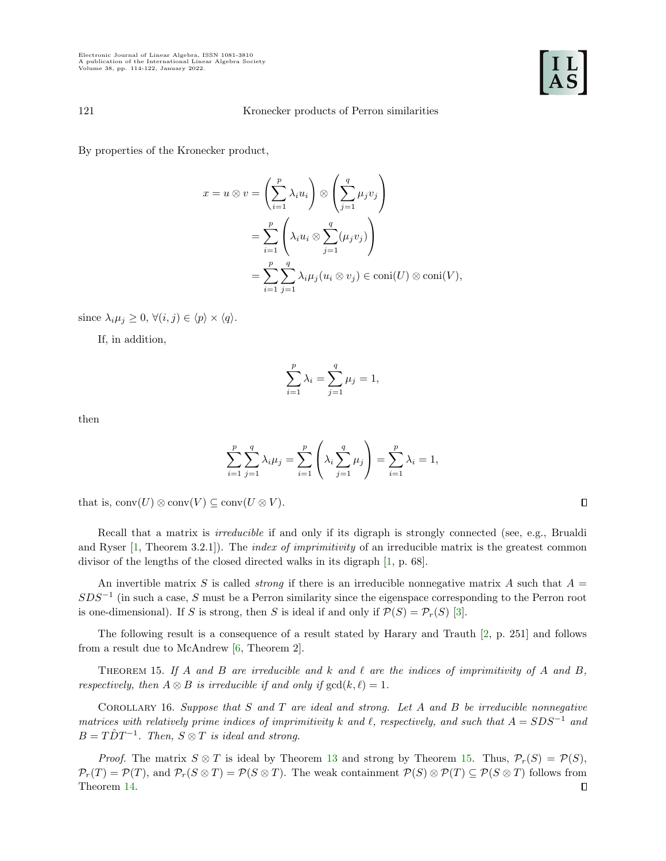By properties of the Kronecker product,

$$
x = u \otimes v = \left(\sum_{i=1}^{p} \lambda_i u_i\right) \otimes \left(\sum_{j=1}^{q} \mu_j v_j\right)
$$
  
= 
$$
\sum_{i=1}^{p} \left(\lambda_i u_i \otimes \sum_{j=1}^{q} (\mu_j v_j)\right)
$$
  
= 
$$
\sum_{i=1}^{p} \sum_{j=1}^{q} \lambda_i \mu_j (u_i \otimes v_j) \in \text{coni}(U) \otimes \text{coni}(V),
$$

since  $\lambda_i \mu_j \geq 0$ ,  $\forall (i, j) \in \langle p \rangle \times \langle q \rangle$ .

If, in addition,

$$
\sum_{i=1}^{p} \lambda_i = \sum_{j=1}^{q} \mu_j = 1,
$$

then

$$
\sum_{i=1}^{p} \sum_{j=1}^{q} \lambda_i \mu_j = \sum_{i=1}^{p} \left( \lambda_i \sum_{j=1}^{q} \mu_j \right) = \sum_{i=1}^{p} \lambda_i = 1,
$$

that is,  $conv(U) \otimes conv(V) \subseteq conv(U \otimes V)$ .

Recall that a matrix is *irreducible* if and only if its digraph is strongly connected (see, e.g., Brualdi and Ryser  $[1,$  Theorem 3.2.1]). The *index of imprimitivity* of an irreducible matrix is the greatest common divisor of the lengths of the closed directed walks in its digraph [\[1,](#page-8-3) p. 68].

An invertible matrix S is called *strong* if there is an irreducible nonnegative matrix A such that  $A =$  $SDS^{-1}$  (in such a case, S must be a Perron similarity since the eigenspace corresponding to the Perron root is one-dimensional). If S is strong, then S is ideal if and only if  $\mathcal{P}(S) = \mathcal{P}_r(S)$  [\[3\]](#page-8-2).

The following result is a consequence of a result stated by Harary and Trauth [\[2,](#page-8-4) p. 251] and follows from a result due to McAndrew [\[6,](#page-8-5) Theorem 2].

<span id="page-7-0"></span>THEOREM 15. If A and B are irreducible and k and  $\ell$  are the indices of imprimitivity of A and B, respectively, then  $A \otimes B$  is irreducible if and only if  $gcd(k, \ell) = 1$ .

COROLLARY 16. Suppose that  $S$  and  $T$  are ideal and strong. Let  $A$  and  $B$  be irreducible nonnegative matrices with relatively prime indices of imprimitivity k and  $\ell$ , respectively, and such that  $A = SDS^{-1}$  and  $B = T\hat{D}T^{-1}$ . Then,  $S \otimes T$  is ideal and strong.

*Proof.* The matrix  $S \otimes T$  is ideal by Theorem [13](#page-6-1) and strong by Theorem [15.](#page-7-0) Thus,  $\mathcal{P}_r(S) = \mathcal{P}(S)$ ,  $\mathcal{P}_r(T) = \mathcal{P}(T)$ , and  $\mathcal{P}_r(S \otimes T) = \mathcal{P}(S \otimes T)$ . The weak containment  $\mathcal{P}(S) \otimes \mathcal{P}(T) \subseteq \mathcal{P}(S \otimes T)$  follows from Theorem [14.](#page-6-2) $\Box$